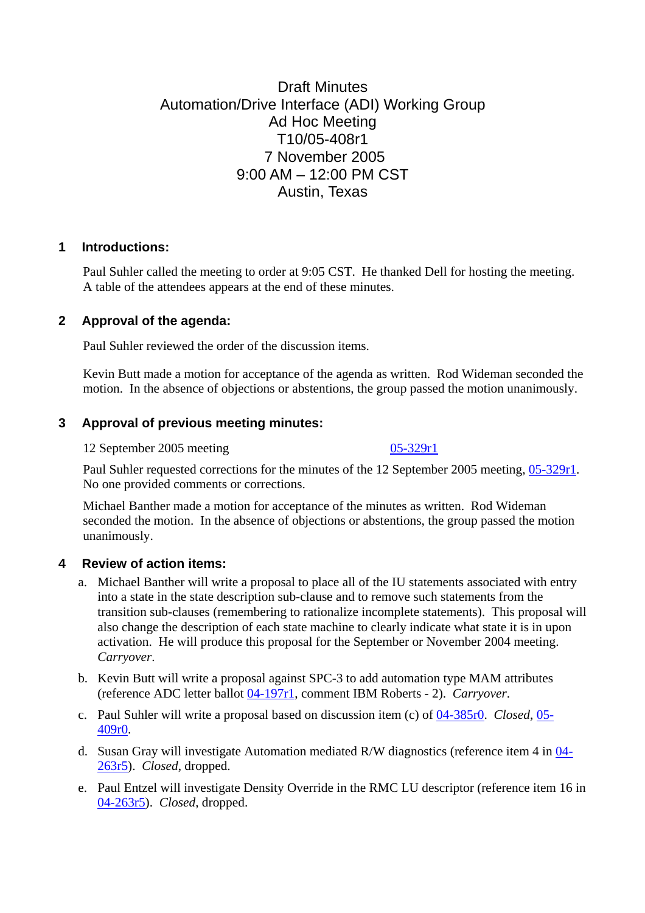# Draft Minutes Automation/Drive Interface (ADI) Working Group Ad Hoc Meeting T10/05-408r1 7 November 2005 9:00 AM – 12:00 PM CST Austin, Texas

### **1 Introductions:**

Paul Suhler called the meeting to order at 9:05 CST. He thanked Dell for hosting the meeting. A table of the attendees appears at the end of these minutes.

## **2 Approval of the agenda:**

Paul Suhler reviewed the order of the discussion items.

Kevin Butt made a motion for acceptance of the agenda as written. Rod Wideman seconded the motion. In the absence of objections or abstentions, the group passed the motion unanimously.

## **3 Approval of previous meeting minutes:**

12 September 2005 meeting [05-329r1](http://www.t10.org/ftp/t10/document.05/05-329r1.pdf)

Paul Suhler requested corrections for the minutes of the 12 September 2005 meeting, [05-329r1.](http://www.t10.org/ftp/t10/document.05/05-329r1.pdf) No one provided comments or corrections.

Michael Banther made a motion for acceptance of the minutes as written. Rod Wideman seconded the motion. In the absence of objections or abstentions, the group passed the motion unanimously.

## **4 Review of action items:**

- a. Michael Banther will write a proposal to place all of the IU statements associated with entry into a state in the state description sub-clause and to remove such statements from the transition sub-clauses (remembering to rationalize incomplete statements). This proposal will also change the description of each state machine to clearly indicate what state it is in upon activation. He will produce this proposal for the September or November 2004 meeting. *Carryover*.
- b. Kevin Butt will write a proposal against SPC-3 to add automation type MAM attributes (reference ADC letter ballot [04-197r1,](http://www.t10.org/ftp/t10/document.04/04-197r1.pdf) comment IBM Roberts - 2). *Carryover*.
- c. Paul Suhler will write a proposal based on discussion item (c) of [04-385r0.](http://www.t10.org/ftp/t10/document.04/04-385r0.pdf) *Closed*, [05-](http://www.t10.org/ftp/t10/document.05/05-409r0.pdf) [409r0](http://www.t10.org/ftp/t10/document.05/05-409r0.pdf).
- d. Susan Gray will investigate Automation mediated R/W diagnostics (reference item 4 in [04-](http://www.t10.org/ftp/t10/document.04/04-263r5.pdf) [263r5](http://www.t10.org/ftp/t10/document.04/04-263r5.pdf)). *Closed*, dropped.
- e. Paul Entzel will investigate Density Override in the RMC LU descriptor (reference item 16 in [04-263r5\)](http://www.t10.org/ftp/t10/document.04/04-263r5.pdf). *Closed*, dropped.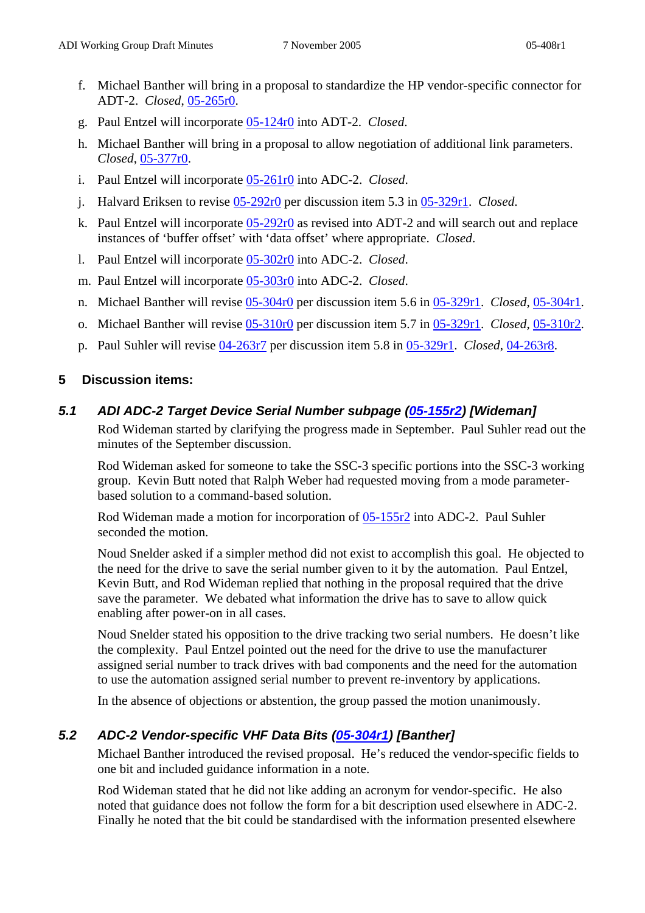- f. Michael Banther will bring in a proposal to standardize the HP vendor-specific connector for ADT-2. *Closed*, [05-265r0](http://www.t10.org/ftp/t10/document.05/05-265r0.pdf).
- g. Paul Entzel will incorporate [05-124r0](http://www.t10.org/ftp/t10/document.05/05-124r0.pdf) into ADT-2. *Closed*.
- h. Michael Banther will bring in a proposal to allow negotiation of additional link parameters. *Closed*, [05-377r0](http://www.t10.org/ftp/t10/document.05/05-377r0.pdf).
- i. Paul Entzel will incorporate [05-261r0](http://www.t10.org/ftp/t10/document.05/05-261r0.pdf) into ADC-2. *Closed*.
- j. Halvard Eriksen to revise [05-292r0](http://www.t10.org/ftp/t10/document.05/05-292r0.pdf) per discussion item 5.3 in [05-329r1](http://www.t10.org/ftp/t10/document.05/05-329r1.pdf). *Closed*.
- k. Paul Entzel will incorporate [05-292r0](http://www.t10.org/ftp/t10/document.05/05-292r0.pdf) as revised into ADT-2 and will search out and replace instances of 'buffer offset' with 'data offset' where appropriate. *Closed*.
- l. Paul Entzel will incorporate [05-302r0](http://www.t10.org/ftp/t10/document.05/05-302r0.pdf) into ADC-2. *Closed*.
- m. Paul Entzel will incorporate [05-303r0](http://www.t10.org/ftp/t10/document.05/05-303r0.pdf) into ADC-2. *Closed*.
- n. Michael Banther will revise [05-304r0](http://www.t10.org/ftp/t10/document.05/05-304r0.pdf) per discussion item 5.6 in [05-329r1.](http://www.t10.org/ftp/t10/document.05/05-329r1.pdf) *Closed*, [05-304r1.](http://www.t10.org/ftp/t10/document.05/05-304r1.pdf)
- o. Michael Banther will revise [05-310r0](http://www.t10.org/ftp/t10/document.05/05-310r0.pdf) per discussion item 5.7 in [05-329r1.](http://www.t10.org/ftp/t10/document.05/05-329r1.pdf) *Closed*, [05-310r2.](http://www.t10.org/ftp/t10/document.05/05-310r2.pdf)
- p. Paul Suhler will revise [04-263r7](http://www.t10.org/ftp/t10/document.04/04-263r7.pdf) per discussion item 5.8 in [05-329r1.](http://www.t10.org/ftp/t10/document.05/05-329r1.pdf) *Closed*, [04-263r8](http://www.t10.org/ftp/t10/document.04/04-263r8.pdf).

### **5 Discussion items:**

### *5.1 ADI ADC-2 Target Device Serial Number subpage [\(05-155r2](http://www.t10.org/ftp/t10/document.05/05-155r2.pdf)) [Wideman]*

Rod Wideman started by clarifying the progress made in September. Paul Suhler read out the minutes of the September discussion.

Rod Wideman asked for someone to take the SSC-3 specific portions into the SSC-3 working group. Kevin Butt noted that Ralph Weber had requested moving from a mode parameterbased solution to a command-based solution.

Rod Wideman made a motion for incorporation of [05-155r2](http://www.t10.org/ftp/t10/document.05/05-155r2.pdf) into ADC-2. Paul Suhler seconded the motion.

Noud Snelder asked if a simpler method did not exist to accomplish this goal. He objected to the need for the drive to save the serial number given to it by the automation. Paul Entzel, Kevin Butt, and Rod Wideman replied that nothing in the proposal required that the drive save the parameter. We debated what information the drive has to save to allow quick enabling after power-on in all cases.

Noud Snelder stated his opposition to the drive tracking two serial numbers. He doesn't like the complexity. Paul Entzel pointed out the need for the drive to use the manufacturer assigned serial number to track drives with bad components and the need for the automation to use the automation assigned serial number to prevent re-inventory by applications.

In the absence of objections or abstention, the group passed the motion unanimously.

## *5.2 ADC-2 Vendor-specific VHF Data Bits ([05-304r1\)](http://www.t10.org/ftp/t10/document.05/05-304r1.pdf) [Banther]*

Michael Banther introduced the revised proposal. He's reduced the vendor-specific fields to one bit and included guidance information in a note.

Rod Wideman stated that he did not like adding an acronym for vendor-specific. He also noted that guidance does not follow the form for a bit description used elsewhere in ADC-2. Finally he noted that the bit could be standardised with the information presented elsewhere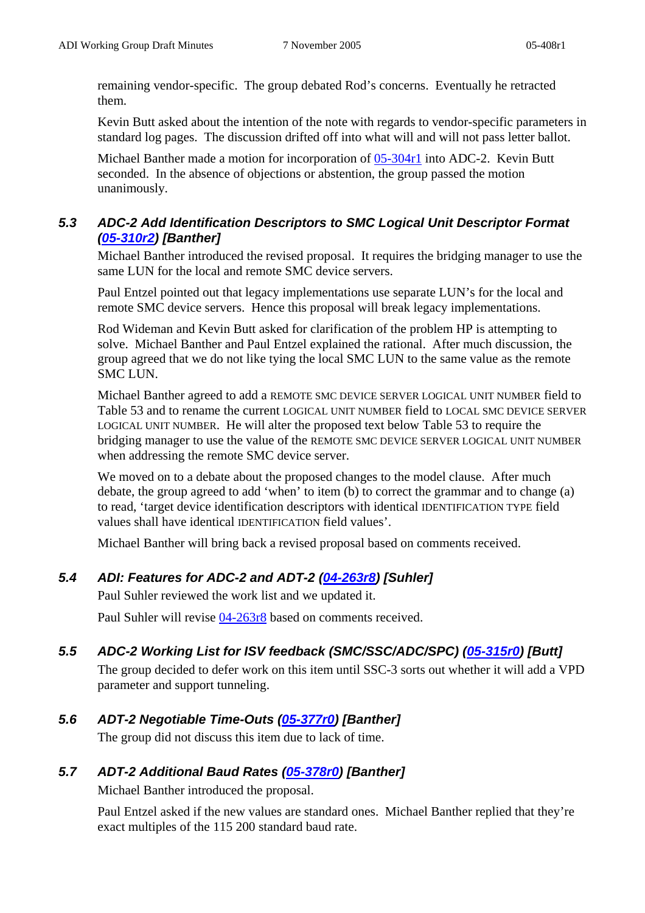remaining vendor-specific. The group debated Rod's concerns. Eventually he retracted them.

Kevin Butt asked about the intention of the note with regards to vendor-specific parameters in standard log pages. The discussion drifted off into what will and will not pass letter ballot.

Michael Banther made a motion for incorporation of [05-304r1](http://www.t10.org/ftp/t10/document.05/05-304r1.pdf) into ADC-2. Kevin Butt seconded. In the absence of objections or abstention, the group passed the motion unanimously.

## *5.3 ADC-2 Add Identification Descriptors to SMC Logical Unit Descriptor Format ([05-310r2\)](http://www.t10.org/ftp/t10/document.05/05-310r2.pdf) [Banther]*

Michael Banther introduced the revised proposal. It requires the bridging manager to use the same LUN for the local and remote SMC device servers.

Paul Entzel pointed out that legacy implementations use separate LUN's for the local and remote SMC device servers. Hence this proposal will break legacy implementations.

Rod Wideman and Kevin Butt asked for clarification of the problem HP is attempting to solve. Michael Banther and Paul Entzel explained the rational. After much discussion, the group agreed that we do not like tying the local SMC LUN to the same value as the remote SMC LUN.

Michael Banther agreed to add a REMOTE SMC DEVICE SERVER LOGICAL UNIT NUMBER field to Table 53 and to rename the current LOGICAL UNIT NUMBER field to LOCAL SMC DEVICE SERVER LOGICAL UNIT NUMBER. He will alter the proposed text below Table 53 to require the bridging manager to use the value of the REMOTE SMC DEVICE SERVER LOGICAL UNIT NUMBER when addressing the remote SMC device server.

We moved on to a debate about the proposed changes to the model clause. After much debate, the group agreed to add 'when' to item (b) to correct the grammar and to change (a) to read, 'target device identification descriptors with identical IDENTIFICATION TYPE field values shall have identical IDENTIFICATION field values'.

Michael Banther will bring back a revised proposal based on comments received.

# *5.4 ADI: Features for ADC-2 and ADT-2 [\(04-263r8\)](http://www.t10.org/ftp/t10/document.04/04-263r8.pdf) [Suhler]*

Paul Suhler reviewed the work list and we updated it.

Paul Suhler will revise [04-263r8](http://www.t10.org/ftp/t10/document.04/04-263r8.pdf) based on comments received.

# *5.5 ADC-2 Working List for ISV feedback (SMC/SSC/ADC/SPC) ([05-315r0](http://www.t10.org/ftp/t10/document.05/05-315r0.pdf)) [Butt]*

The group decided to defer work on this item until SSC-3 sorts out whether it will add a VPD parameter and support tunneling.

# *5.6 ADT-2 Negotiable Time-Outs [\(05-377r0\)](http://www.t10.org/ftp/t10/document.05/05-377r0.pdf) [Banther]*

The group did not discuss this item due to lack of time.

## *5.7 ADT-2 Additional Baud Rates [\(05-378r0\)](http://www.t10.org/ftp/t10/document.05/05-378r0.pdf) [Banther]*

Michael Banther introduced the proposal.

Paul Entzel asked if the new values are standard ones. Michael Banther replied that they're exact multiples of the 115 200 standard baud rate.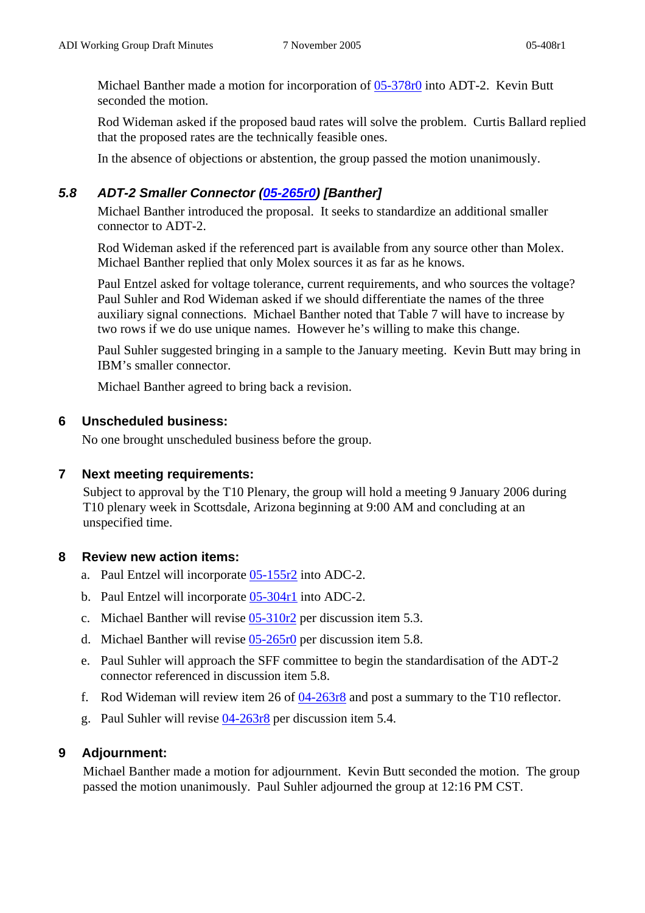Michael Banther made a motion for incorporation of [05-378r0](http://www.t10.org/ftp/t10/document.05/05-378r0.pdf) into ADT-2. Kevin Butt seconded the motion.

Rod Wideman asked if the proposed baud rates will solve the problem. Curtis Ballard replied that the proposed rates are the technically feasible ones.

In the absence of objections or abstention, the group passed the motion unanimously.

### *5.8 ADT-2 Smaller Connector ([05-265r0](http://www.t10.org/ftp/t10/document.05/05-265r0.pdf)) [Banther]*

Michael Banther introduced the proposal. It seeks to standardize an additional smaller connector to ADT-2.

Rod Wideman asked if the referenced part is available from any source other than Molex. Michael Banther replied that only Molex sources it as far as he knows.

Paul Entzel asked for voltage tolerance, current requirements, and who sources the voltage? Paul Suhler and Rod Wideman asked if we should differentiate the names of the three auxiliary signal connections. Michael Banther noted that Table 7 will have to increase by two rows if we do use unique names. However he's willing to make this change.

Paul Suhler suggested bringing in a sample to the January meeting. Kevin Butt may bring in IBM's smaller connector.

Michael Banther agreed to bring back a revision.

#### **6 Unscheduled business:**

No one brought unscheduled business before the group.

#### **7 Next meeting requirements:**

Subject to approval by the T10 Plenary, the group will hold a meeting 9 January 2006 during T10 plenary week in Scottsdale, Arizona beginning at 9:00 AM and concluding at an unspecified time.

#### **8 Review new action items:**

- a. Paul Entzel will incorporate [05-155r2](http://www.t10.org/ftp/t10/document.05/05-155r2.pdf) into ADC-2.
- b. Paul Entzel will incorporate [05-304r1](http://www.t10.org/ftp/t10/document.05/05-304r1.pdf) into ADC-2.
- c. Michael Banther will revise [05-310r2](http://www.t10.org/ftp/t10/document.05/05-310r2.pdf) per discussion item 5.3.
- d. Michael Banther will revise [05-265r0](http://www.t10.org/ftp/t10/document.05/05-265r0.pdf) per discussion item 5.8.
- e. Paul Suhler will approach the SFF committee to begin the standardisation of the ADT-2 connector referenced in discussion item 5.8.
- f. Rod Wideman will review item 26 of [04-263r8](http://www.t10.org/ftp/t10/document.04/04-263r8.pdf) and post a summary to the T10 reflector.
- g. Paul Suhler will revise [04-263r8](http://www.t10.org/ftp/t10/document.04/04-263r8.pdf) per discussion item 5.4.

#### **9 Adjournment:**

Michael Banther made a motion for adjournment. Kevin Butt seconded the motion. The group passed the motion unanimously. Paul Suhler adjourned the group at 12:16 PM CST.